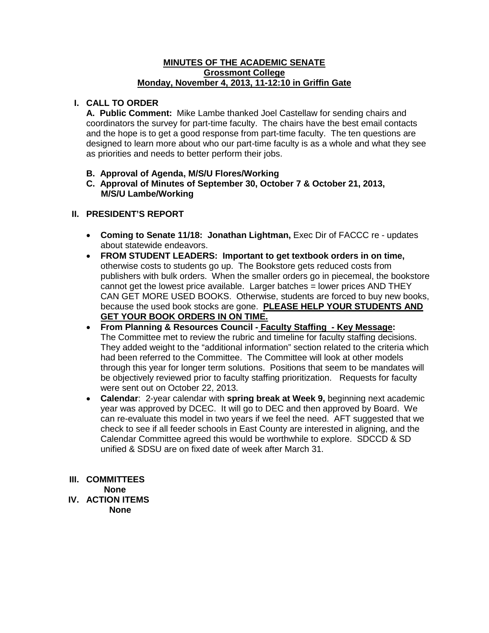#### **MINUTES OF THE ACADEMIC SENATE Grossmont College Monday, November 4, 2013, 11-12:10 in Griffin Gate**

### **I. CALL TO ORDER**

**A. Public Comment:** Mike Lambe thanked Joel Castellaw for sending chairs and coordinators the survey for part-time faculty. The chairs have the best email contacts and the hope is to get a good response from part-time faculty. The ten questions are designed to learn more about who our part-time faculty is as a whole and what they see as priorities and needs to better perform their jobs.

- **B. Approval of Agenda, M/S/U Flores/Working**
- **C. Approval of Minutes of September 30, October 7 & October 21, 2013, M/S/U Lambe/Working**

#### **II. PRESIDENT'S REPORT**

- **Coming to Senate 11/18: Jonathan Lightman,** Exec Dir of FACCC re updates about statewide endeavors.
- **FROM STUDENT LEADERS: Important to get textbook orders in on time,**  otherwise costs to students go up. The Bookstore gets reduced costs from publishers with bulk orders. When the smaller orders go in piecemeal, the bookstore cannot get the lowest price available. Larger batches = lower prices AND THEY CAN GET MORE USED BOOKS. Otherwise, students are forced to buy new books, because the used book stocks are gone. **PLEASE HELP YOUR STUDENTS AND GET YOUR BOOK ORDERS IN ON TIME.**
- **From Planning & Resources Council - Faculty Staffing - Key Message:** The Committee met to review the rubric and timeline for faculty staffing decisions. They added weight to the "additional information" section related to the criteria which had been referred to the Committee. The Committee will look at other models through this year for longer term solutions. Positions that seem to be mandates will be objectively reviewed prior to faculty staffing prioritization. Requests for faculty were sent out on October 22, 2013.
- **Calendar**: 2-year calendar with **spring break at Week 9,** beginning next academic year was approved by DCEC. It will go to DEC and then approved by Board. We can re-evaluate this model in two years if we feel the need. AFT suggested that we check to see if all feeder schools in East County are interested in aligning, and the Calendar Committee agreed this would be worthwhile to explore. SDCCD & SD unified & SDSU are on fixed date of week after March 31.

#### **III. COMMITTEES**

 **None**

**IV. ACTION ITEMS None**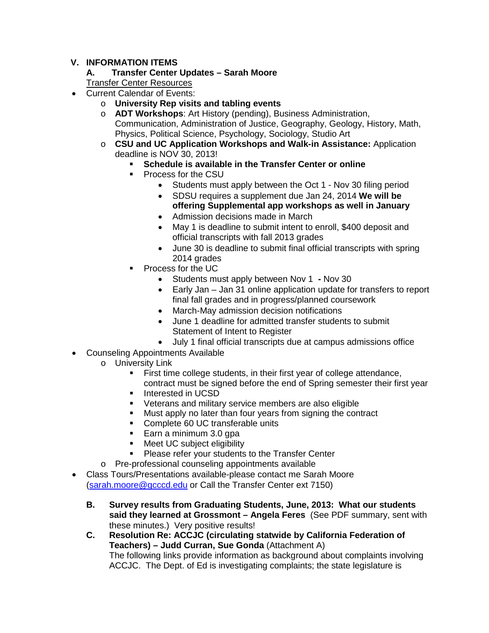## **V. INFORMATION ITEMS**

# **A. Transfer Center Updates – Sarah Moore**

Transfer Center Resources

- Current Calendar of Events:
	- o **University Rep visits and tabling events**
	- o **ADT Workshops**: Art History (pending), Business Administration, Communication, Administration of Justice, Geography, Geology, History, Math, Physics, Political Science, Psychology, Sociology, Studio Art
	- o **CSU and UC Application Workshops and Walk-in Assistance:** Application deadline is NOV 30, 2013!
		- **Schedule is available in the Transfer Center or online**
		- Process for the CSU
			- Students must apply between the Oct 1 Nov 30 filing period
			- SDSU requires a supplement due Jan 24, 2014 **We will be offering Supplemental app workshops as well in January**
			- Admission decisions made in March
			- May 1 is deadline to submit intent to enroll, \$400 deposit and official transcripts with fall 2013 grades
			- June 30 is deadline to submit final official transcripts with spring 2014 grades
		- Process for the UC
			- Students must apply between Nov 1 **-** Nov 30
			- Early Jan Jan 31 online application update for transfers to report final fall grades and in progress/planned coursework
			- March-May admission decision notifications
			- June 1 deadline for admitted transfer students to submit Statement of Intent to Register
			- July 1 final official transcripts due at campus admissions office
- Counseling Appointments Available
	- o University Link
		- First time college students, in their first year of college attendance, contract must be signed before the end of Spring semester their first year
		- **Interested in UCSD**
		- Veterans and military service members are also eligible
		- **Must apply no later than four years from signing the contract**
		- Complete 60 UC transferable units
		- Earn a minimum 3.0 qpa
		- **Meet UC subject eligibility**
		- Please refer your students to the Transfer Center
	- o Pre-professional counseling appointments available
- Class Tours/Presentations available-please contact me Sarah Moore [\(sarah.moore@gcccd.edu](mailto:sarah.moore@gcccd.edu) or Call the Transfer Center ext 7150)
	- **B. Survey results from Graduating Students, June, 2013: What our students said they learned at Grossmont – Angela Feres** (See PDF summary, sent with these minutes.) Very positive results!
	- **C. Resolution Re: ACCJC (circulating statwide by California Federation of Teachers) – Judd Curran, Sue Gonda** (Attachment A) The following links provide information as background about complaints involving ACCJC. The Dept. of Ed is investigating complaints; the state legislature is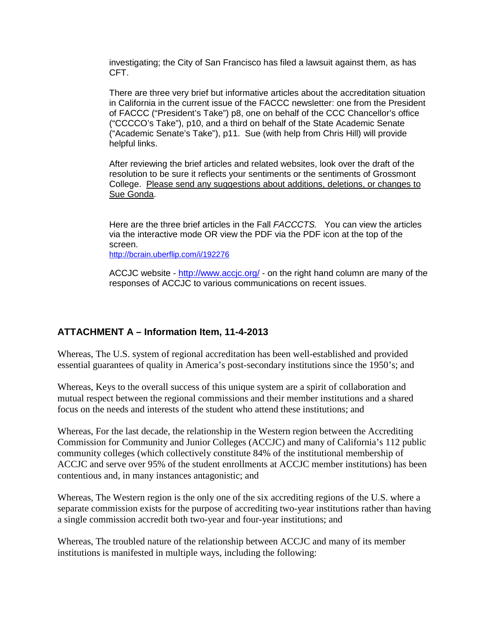investigating; the City of San Francisco has filed a lawsuit against them, as has CFT.

There are three very brief but informative articles about the accreditation situation in California in the current issue of the FACCC newsletter: one from the President of FACCC ("President's Take") p8, one on behalf of the CCC Chancellor's office ("CCCCO's Take"), p10, and a third on behalf of the State Academic Senate ("Academic Senate's Take"), p11. Sue (with help from Chris Hill) will provide helpful links.

After reviewing the brief articles and related websites, look over the draft of the resolution to be sure it reflects your sentiments or the sentiments of Grossmont College. Please send any suggestions about additions, deletions, or changes to Sue Gonda.

Here are the three brief articles in the Fall *FACCCTS.* You can view the articles via the interactive mode OR view the PDF via the PDF icon at the top of the screen.

[http://bcrain.uberflip.com/i/192276](https://legacymail.gcccd.edu/exchweb/bin/redir.asp?URL=http://bcrain.uberflip.com/i/192276)

ACCJC website - [http://www.accjc.org/](https://legacymail.gcccd.edu/exchweb/bin/redir.asp?URL=http://www.accjc.org/) - on the right hand column are many of the responses of ACCJC to various communications on recent issues.

## **ATTACHMENT A – Information Item, 11-4-2013**

Whereas, The U.S. system of regional accreditation has been well-established and provided essential guarantees of quality in America's post-secondary institutions since the 1950's; and

Whereas, Keys to the overall success of this unique system are a spirit of collaboration and mutual respect between the regional commissions and their member institutions and a shared focus on the needs and interests of the student who attend these institutions; and

Whereas, For the last decade, the relationship in the Western region between the Accrediting Commission for Community and Junior Colleges (ACCJC) and many of California's 112 public community colleges (which collectively constitute 84% of the institutional membership of ACCJC and serve over 95% of the student enrollments at ACCJC member institutions) has been contentious and, in many instances antagonistic; and

Whereas, The Western region is the only one of the six accrediting regions of the U.S. where a separate commission exists for the purpose of accrediting two-year institutions rather than having a single commission accredit both two-year and four-year institutions; and

Whereas, The troubled nature of the relationship between ACCJC and many of its member institutions is manifested in multiple ways, including the following: